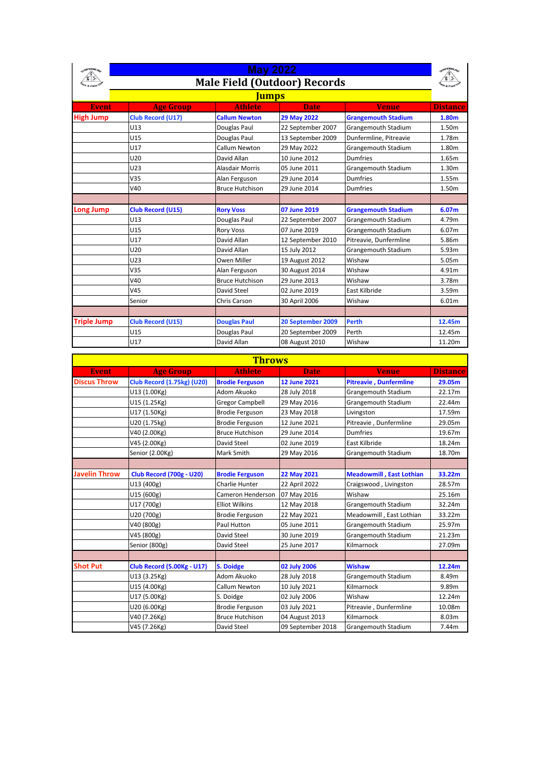| NINFERMLING        | <b>May 2022</b><br><b>Male Field (Outdoor) Records</b><br><u>Jumps</u> |                        |                   |                            |                 |
|--------------------|------------------------------------------------------------------------|------------------------|-------------------|----------------------------|-----------------|
|                    |                                                                        |                        |                   |                            |                 |
|                    |                                                                        |                        |                   |                            |                 |
| <b>Event</b>       | <b>Age Group</b>                                                       | <b>Athlete</b>         | <b>Date</b>       | <b>Venue</b>               | <b>Distance</b> |
| <b>High Jump</b>   | Club Record (U17)                                                      | <b>Callum Newton</b>   | 29 May 2022       | <b>Grangemouth Stadium</b> | 1.80m           |
|                    | U13                                                                    | Douglas Paul           | 22 September 2007 | Grangemouth Stadium        | 1.50m           |
|                    | U <sub>15</sub>                                                        | Douglas Paul           | 13 September 2009 | Dunfermline, Pitreavie     | 1.78m           |
|                    | U17                                                                    | Callum Newton          | 29 May 2022       | Grangemouth Stadium        | 1.80m           |
|                    | U20                                                                    | David Allan            | 10 June 2012      | Dumfries                   | 1.65m           |
|                    | U23                                                                    | <b>Alasdair Morris</b> | 05 June 2011      | Grangemouth Stadium        | 1.30m           |
|                    | V <sub>35</sub>                                                        | Alan Ferguson          | 29 June 2014      | Dumfries                   | 1.55m           |
|                    | V40                                                                    | <b>Bruce Hutchison</b> | 29 June 2014      | Dumfries                   | 1.50m           |
|                    |                                                                        |                        |                   |                            |                 |
| <b>Long Jump</b>   | <b>Club Record (U15)</b>                                               | <b>Rory Voss</b>       | 07 June 2019      | <b>Grangemouth Stadium</b> | 6.07m           |
|                    | U13                                                                    | Douglas Paul           | 22 September 2007 | Grangemouth Stadium        | 4.79m           |
|                    | U15                                                                    | <b>Rory Voss</b>       | 07 June 2019      | <b>Grangemouth Stadium</b> | 6.07m           |
|                    | U17                                                                    | David Allan            | 12 September 2010 | Pitreavie, Dunfermline     | 5.86m           |
|                    | U20                                                                    | David Allan            | 15 July 2012      | Grangemouth Stadium        | 5.93m           |
|                    | U23                                                                    | Owen Miller            | 19 August 2012    | Wishaw                     | 5.05m           |
|                    | V <sub>35</sub>                                                        | Alan Ferguson          | 30 August 2014    | Wishaw                     | 4.91m           |
|                    | V40                                                                    | <b>Bruce Hutchison</b> | 29 June 2013      | Wishaw                     | 3.78m           |
|                    | V45                                                                    | David Steel            | 02 June 2019      | East Kilbride              | 3.59m           |
|                    | Senior                                                                 | Chris Carson           | 30 April 2006     | Wishaw                     | 6.01m           |
|                    |                                                                        |                        |                   |                            |                 |
| <b>Triple Jump</b> | <b>Club Record (U15)</b>                                               | <b>Douglas Paul</b>    | 20 September 2009 | <b>Perth</b>               | 12.45m          |
|                    | U15                                                                    | Douglas Paul           | 20 September 2009 | Perth                      | 12.45m          |
|                    | U17                                                                    | David Allan            | 08 August 2010    | Wishaw                     | 11.20m          |

| <b>Throws</b>        |                                   |                        |                     |                                 |                   |  |
|----------------------|-----------------------------------|------------------------|---------------------|---------------------------------|-------------------|--|
| <b>Event</b>         | <b>Age Group</b>                  | <b>Athlete</b>         | <b>Date</b>         | <b>Venue</b>                    | <b>Distance</b>   |  |
| <b>Discus Throw</b>  | <b>Club Record (1.75kg) (U20)</b> | <b>Brodie Ferguson</b> | <b>12 June 2021</b> | <b>Pitreavie, Dunfermline</b>   | 29.05m            |  |
|                      | U13 (1.00Kg)                      | Adom Akuoko            | 28 July 2018        | Grangemouth Stadium             | 22.17m            |  |
|                      | U15 (1.25Kg)                      | <b>Gregor Campbell</b> | 29 May 2016         | Grangemouth Stadium             | 22.44m            |  |
|                      | U17 (1.50Kg)                      | <b>Brodie Ferguson</b> | 23 May 2018         | Livingston                      | 17.59m            |  |
|                      | U20 (1.75kg)                      | <b>Brodie Ferguson</b> | 12 June 2021        | Pitreavie, Dunfermline          | 29.05m            |  |
|                      | V40 (2.00Kg)                      | <b>Bruce Hutchison</b> | 29 June 2014        | <b>Dumfries</b>                 | 19.67m            |  |
|                      | V45 (2.00Kg)                      | David Steel            | 02 June 2019        | East Kilbride                   | 18.24m            |  |
|                      | Senior (2.00Kg)                   | Mark Smith             | 29 May 2016         | Grangemouth Stadium             | 18.70m            |  |
|                      |                                   |                        |                     |                                 |                   |  |
| <b>Javelin Throw</b> | <b>Club Record (700g - U20)</b>   | <b>Brodie Ferguson</b> | 22 May 2021         | <b>Meadowmill, East Lothian</b> | 33.22m            |  |
|                      | U13 (400g)                        | Charlie Hunter         | 22 April 2022       | Craigswood, Livingston          | 28.57m            |  |
|                      | U15 (600g)                        | Cameron Henderson      | 07 May 2016         | Wishaw                          | 25.16m            |  |
|                      | U17 (700g)                        | <b>Elliot Wilkins</b>  | 12 May 2018         | Grangemouth Stadium             | 32.24m            |  |
|                      | U20 (700g)                        | <b>Brodie Ferguson</b> | 22 May 2021         | Meadowmill, East Lothian        | 33.22m            |  |
|                      | V40 (800g)                        | Paul Hutton            | 05 June 2011        | Grangemouth Stadium             | 25.97m            |  |
|                      | V45 (800g)                        | David Steel            | 30 June 2019        | Grangemouth Stadium             | 21.23m            |  |
|                      | Senior (800g)                     | David Steel            | 25 June 2017        | Kilmarnock                      | 27.09m            |  |
|                      |                                   |                        |                     |                                 |                   |  |
| <b>Shot Put</b>      | <b>Club Record (5.00Kg - U17)</b> | <b>S. Doidge</b>       | 02 July 2006        | <b>Wishaw</b>                   | 12.24m            |  |
|                      | U13 (3.25Kg)                      | Adom Akuoko            | 28 July 2018        | Grangemouth Stadium             | 8.49m             |  |
|                      | U15 (4.00Kg)                      | Callum Newton          | 10 July 2021        | Kilmarnock                      | 9.89m             |  |
|                      | U17 (5.00Kg)                      | S. Doidge              | 02 July 2006        | Wishaw                          | 12.24m            |  |
|                      | U20 (6.00Kg)                      | <b>Brodie Ferguson</b> | 03 July 2021        | Pitreavie, Dunfermline          | 10.08m            |  |
|                      | V40 (7.26Kg)                      | <b>Bruce Hutchison</b> | 04 August 2013      | Kilmarnock                      | 8.03 <sub>m</sub> |  |
|                      | V45 (7.26Kg)                      | David Steel            | 09 September 2018   | Grangemouth Stadium             | 7.44m             |  |